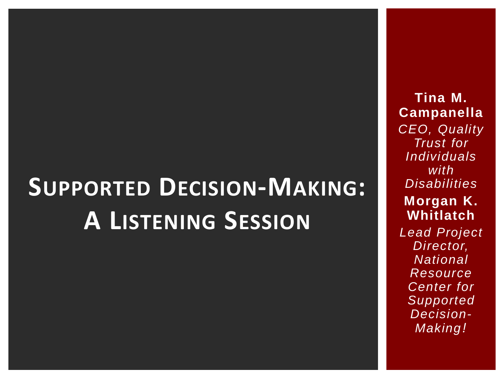### **SUPPORTED DECISION-MAKING: A LISTENING SESSION**

**Tina M. Campanella** *CEO, Quality Trust for Individuals with Disabilities* **Morgan K. Whitlatch** *Lead Project Director, National Resource Center for Supported Decision-Making!*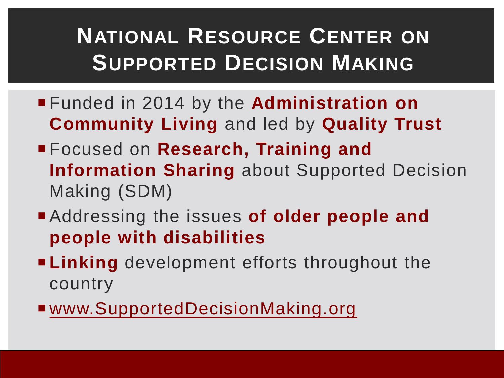#### **NATIONAL RESOURCE CENTER ON SUPPORTED DECISION MAKING**

- Funded in 2014 by the **Administration on Community Living** and led by **Quality Trust**
- Focused on **Research, Training and Information Sharing** about Supported Decision Making (SDM)
- Addressing the issues **of older people and people with disabilities**
- **Linking** development efforts throughout the country
- [www.SupportedDecisionMaking.org](http://www.supporteddecisionmaking.org/)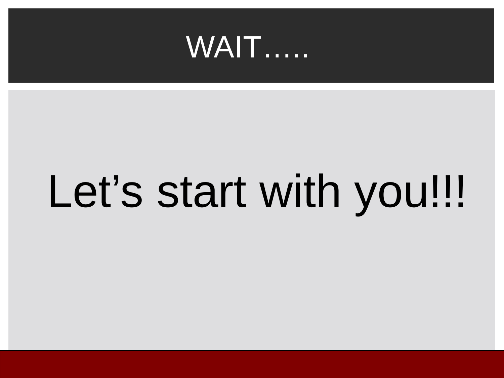

# Let's start with you!!!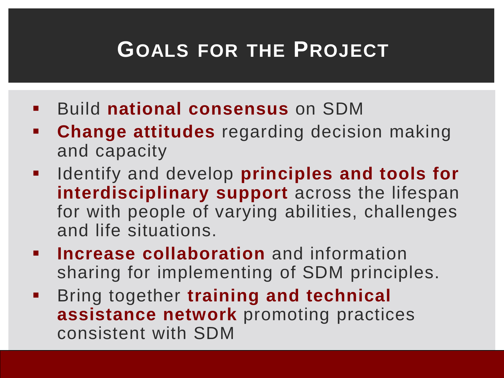#### **GOALS FOR THE PROJECT**

- Build **national consensus** on SDM
- **Change attitudes** regarding decision making and capacity
- **IDENTIFY and develop principles and tools for interdisciplinary support** across the lifespan for with people of varying abilities, challenges and life situations.
- **Increase collaboration** and information sharing for implementing of SDM principles.
- **Bring together training and technical assistance network** promoting practices consistent with SDM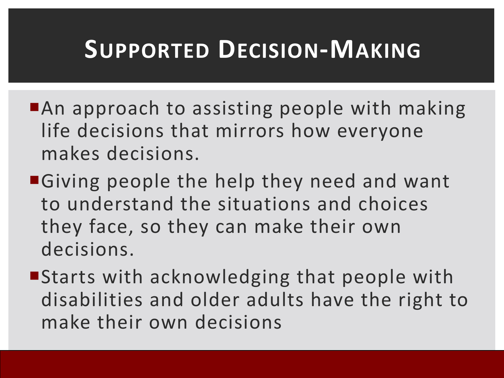### **SUPPORTED DECISION-MAKING**

- ■An approach to assisting people with making life decisions that mirrors how everyone makes decisions.
- ■Giving people the help they need and want to understand the situations and choices they face, so they can make their own decisions.
- Starts with acknowledging that people with disabilities and older adults have the right to make their own decisions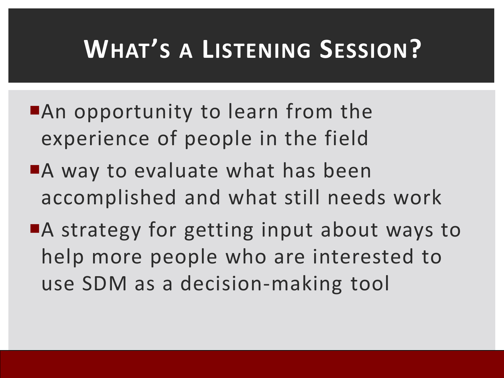### **WHAT'S A LISTENING SESSION?**

- An opportunity to learn from the experience of people in the field
- A way to evaluate what has been accomplished and what still needs work
- ■A strategy for getting input about ways to help more people who are interested to use SDM as a decision-making tool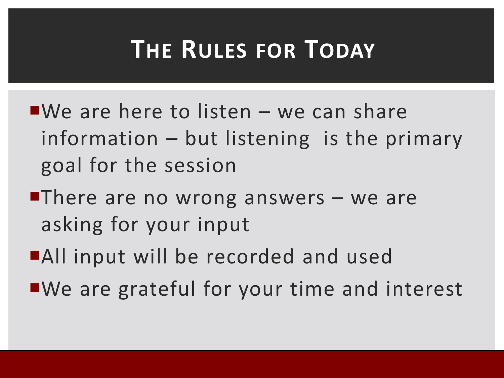### **THE RULES FOR TODAY**

- $\blacksquare$ We are here to listen we can share information – but listening is the primary goal for the session
- There are no wrong answers  $-$  we are asking for your input
- ■All input will be recorded and used
- ■We are grateful for your time and interest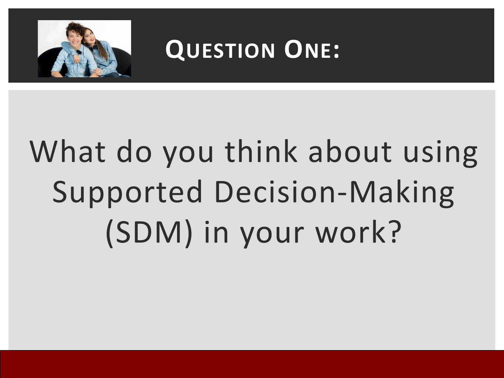

#### **QUESTION ONE:**

# What do you think about using Supported Decision-Making (SDM) in your work?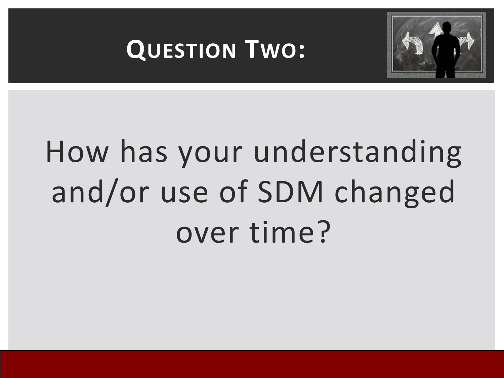



# How has your understanding and/or use of SDM changed over time?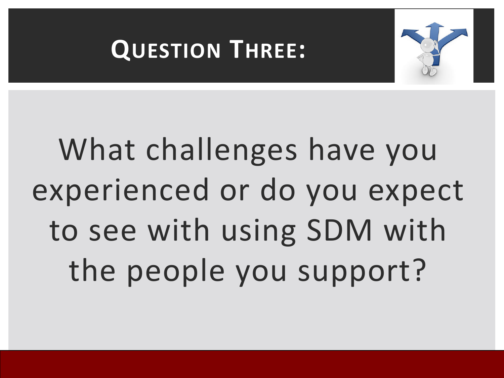

#### **QUESTION THREE:**

# What challenges have you experienced or do you expect to see with using SDM with the people you support?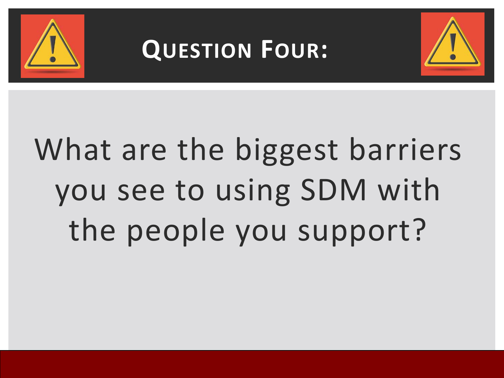

### **QUESTION FOUR:**



# What are the biggest barriers you see to using SDM with the people you support?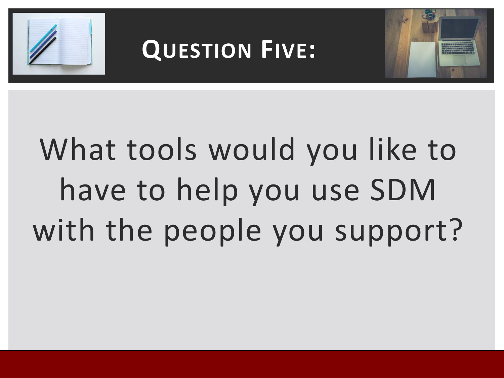

### **QUESTION FIVE:**



# What tools would you like to have to help you use SDM with the people you support?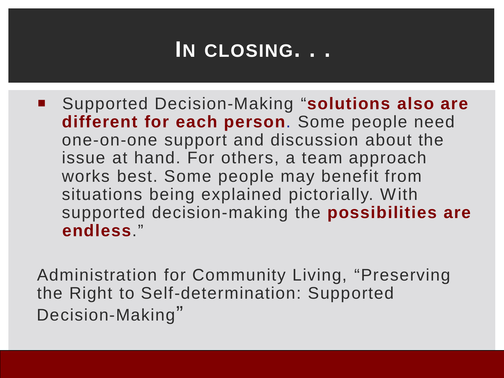#### **IN CLOSING. . .**

 Supported Decision-Making "**solutions also are different for each person**. Some people need one-on-one support and discussion about the issue at hand. For others, a team approach works best. Some people may benefit from situations being explained pictorially. With supported decision-making the **possibilities are endless**."

Administration for Community Living, "Preserving the Right to Self-determination: Supported Decision-Making"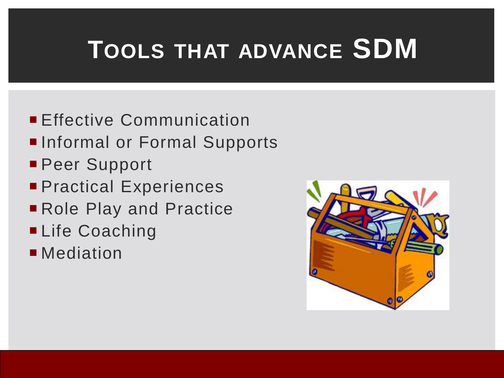### **TOOLS THAT ADVANCE SDM**

- **Effective Communication**
- Informal or Formal Supports
- **Peer Support**
- **Practical Experiences**
- Role Play and Practice
- **Life Coaching**
- **Mediation**

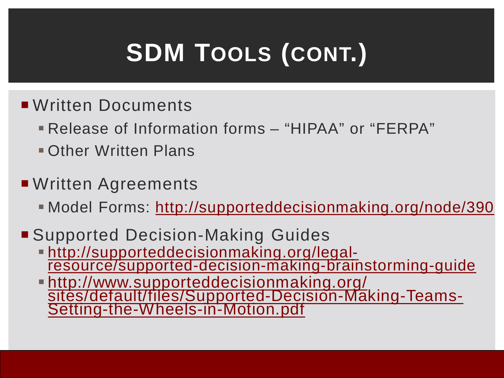## **SDM TOOLS (CONT.)**

- **Written Documents** 
	- Release of Information forms "HIPAA" or "FERPA"
	- Other Written Plans
- ■Written Agreements
	- Model Forms: http://supporteddecisionmaking.org/node/390
- Supported Decision-Making Guides
	- http://supporteddecisionmaking.org/legal- resource/supported-decision-making-brainstorming-guide
	- http://www.supporteddecisionmaking.org/ sites/default/files/Supported-Decision-Making-Teams-<br>Setting-the-Wheels-in-Motion.pdf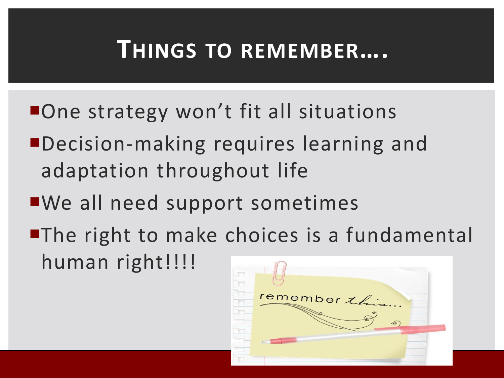#### **THINGS TO REMEMBER….**

- ■One strategy won't fit all situations
- Decision-making requires learning and adaptation throughout life
- We all need support sometimes
- **The right to make choices is a fundamental** human right!!!!

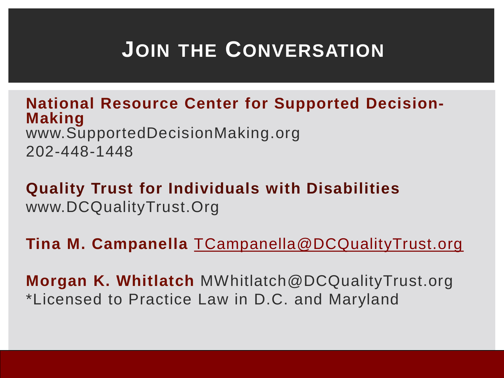#### **JOIN THE CONVERSATION**

**National Resource Center for Supported Decision- Making** www.SupportedDecisionMaking.org 202-448-1448

**Quality Trust for Individuals with Disabilities** www.DCQualityTrust.Org

**Tina M. Campanella** [TCampanella@DCQualityTrust.org](mailto:TCampanella@DCQualityTrust.org)

**Morgan K. Whitlatch** MWhitlatch@DCQualityTrust.org \*Licensed to Practice Law in D.C. and Maryland